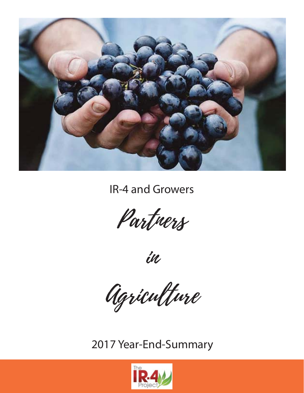

IR-4 and Growers

Partners

in

Agriculture

2017 Year-End-Summary

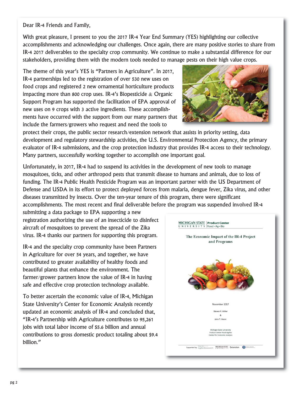Dear IR-4 Friends and Family,

With great pleasure, I present to you the 2017 IR-4 Year End Summary (YES) highlighting our collective accomplishments and acknowledging our challenges. Once again, there are many positive stories to share from IR-4 2017 deliverables to the specialty crop community. We continue to make a substantial difference for our stakeholders, providing them with the modern tools needed to manage pests on their high value crops.

The theme of this year's YES is "Partners in Agriculture". In 2017, IR-4 partnerships led to the registration of over 530 new uses on food crops and registered 2 new ornamental horticulture products impacting more than 800 crop uses. IR-4's Biopesticide  $\&$  Organic Support Program has supported the facilitation of EPA approval of new uses on 9 crops with 3 active ingredients. These accomplishments have occurred with the support from our many partners that include the farmers/growers who request and need the tools to



protect their crops, the public sector research/extension network that assists in priority setting, data development and regulatory stewardship activities, the U.S. Environmental Protection Agency, the primary evaluator of IR-4 submissions, and the crop protection industry that provides IR-4 access to their technology. Many partners, successfully working together to accomplish one important goal.

Unfortunately, in 2017, IR-4 had to suspend its activities in the development of new tools to manage mosquitoes, ticks, and other arthropod pests that transmit disease to humans and animals, due to loss of funding. The IR-4 Public Health Pesticide Program was an important partner with the US Department of Defense and USDA in its effort to protect deployed forces from malaria, dengue fever, Zika virus, and other diseases transmitted by insects. Over the ten-year tenure of this program, there were significant accomplishments. The most recent and final deliverable before the program was suspended involved IR-4

submitting a data package to EPA supporting a new registration authorizing the use of an insecticide to disinfect aircraft of mosquitoes to prevent the spread of the Zika virus. IR-4 thanks our partners for supporting this program.

IR-4 and the specialty crop community have been Partners in Agriculture for over 54 years, and together, we have contributed to greater availability of healthy foods and beautiful plants that enhance the environment. The farmer/grower partners know the value of IR-4 in having safe and effective crop protection technology available.

To better ascertain the economic value of IR-4, Michigan State University's Center for Economic Analysis recently updated an economic analysis of IR-4 and concluded that, "IR-4's Partnership with Agriculture contributes to 95,261 jobs with total labor income of \$5.6 billion and annual contributions to gross domestic product totaling about \$9.4 billion."

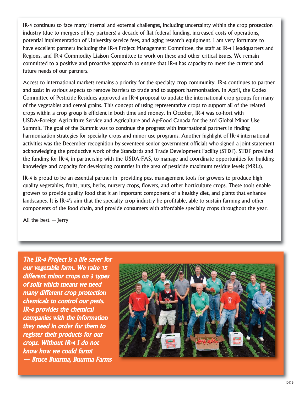IR-4 continues to face many internal and external challenges, including uncertainty within the crop protection industry (due to mergers of key partners) a decade of flat federal funding, increased costs of operations, potential implementation of University service fees, and aging research equipment. I am very fortunate to have excellent partners including the IR-4 Project Management Committee, the staff at IR-4 Headquarters and Regions, and IR-4 Commodity Liaison Committee to work on these and other critical issues. We remain committed to a positive and proactive approach to ensure that IR-4 has capacity to meet the current and future needs of our partners.

Access to international markets remains a priority for the specialty crop community. IR-4 continues to partner and assist in various aspects to remove barriers to trade and to support harmonization. In April, the Codex Committee of Pesticide Residues approved an IR-4 proposal to update the international crop groups for many of the vegetables and cereal grains. This concept of using representative crops to support all of the related crops within a crop group is efficient in both time and money. In October, IR-4 was co-host with USDA-Foreign Agriculture Service and Agriculture and Ag-Food Canada for the 3rd Global Minor Use Summit. The goal of the Summit was to continue the progress with international partners in finding harmonization strategies for specialty crops and minor use programs. Another highlight of IR-4 international activities was the December recognition by seventeen senior government officials who signed a joint statement acknowledging the productive work of the Standards and Trade Development Facility (STDF). STDF provided the funding for IR-4, in partnership with the USDA-FAS, to manage and coordinate opportunities for building knowledge and capacity for developing countries in the area of pesticide maximum residue levels (MRLs).

IR-4 is proud to be an essential partner in providing pest management tools for growers to produce high quality vegetables, fruits, nuts, herbs, nursery crops, flowers, and other horticulture crops. These tools enable growers to provide quality food that is an important component of a healthy diet, and plants that enhance landscapes. It is IR-4's aim that the specialty crop industry be profitable, able to sustain farming and other components of the food chain, and provide consumers with affordable specialty crops throughout the year.

All the best —Jerry

The IR-4 Project is a life saver for our vegetable farm. We raise 15 different minor crops on 3 types of soils which means we need many different crop protection chemicals to control our pests. IR-4 provides the chemical companies with the information they need in order for them to register their products for our crops. Without IR-4 I do not know how we could farm! — Bruce Buurma, Buurma Farms

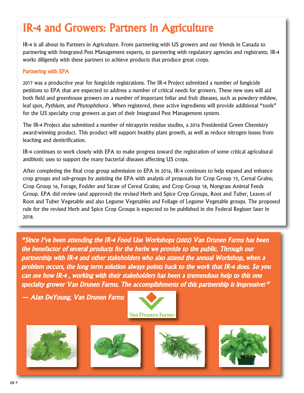# IR-4 and Growers: Partners in Agriculture

IR-4 is all about its Partners in Agriculture. From partnering with US growers and our friends in Canada to partnering with Integrated Pest Management experts, to partnering with regulatory agencies and registrants; IR-4 works diligently with these partners to achieve products that produce great crops.

### Partnering with EPA

2017 was a productive year for fungicide registrations. The IR-4 Project submitted a number of fungicide petitions to EPA that are expected to address a number of critical needs for growers. These new uses will aid both field and greenhouse growers on a number of important foliar and fruit diseases, such as powdery mildew, leaf spot, Pythium, and Phytophthora . When registered, these active ingredients will provide additional "tools" for the US specialty crop growers as part of their Integrated Pest Management system.

The IR-4 Project also submitted a number of nitrapyrin residue studies, a 2016 Presidential Green Chemistry award-winning product. This product will support healthy plant growth, as well as reduce nitrogen losses from leaching and denitrification.

IR-4 continues to work closely with EPA to make progress toward the registration of some critical agricultural antibiotic uses to support the many bacterial diseases affecting US crops.

After completing the final crop group submission to EPA in 2016, IR-4 continues to help expand and enhance crop groups and sub-groups by assisting the EPA with analysis of proposals for Crop Group 15, Cereal Grains; Crop Group 16, Forage, Fodder and Straw of Cereal Grains; and Crop Group 18, Nongrass Animal Feeds Group. EPA did review (and approved) the revised Herb and Spice Crop Groups, Root and Tuber, Leaves of Root and Tuber Vegetable and also Legume Vegetables and Foliage of Legume Vegetable groups. The proposed rule for the revised Herb and Spice Crop Groups is expected to be published in the Federal Register later in 2018.

"Since I've been attending the IR-4 Food Use Workshops (2002) Van Drunen Farms has been the benefactor of several products for the herbs we provide to the public. Through our partnership with IR-4 and other stakeholders who also attend the annual Workshop, when a problem occurs, the long term solution always points back to the work that IR-4 does. So you can see how IR-4 , working with their stakeholders has been a tremendous help to this one specialty grower Van Drunen Farms. The accomplishments of this partnership is impressive!"

— Alan DeYoung, Van Drunen Farms



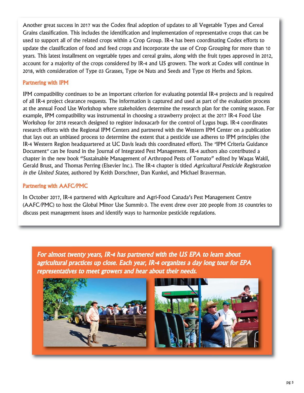Another great success in 2017 was the Codex final adoption of updates to all Vegetable Types and Cereal Grains classification. This includes the identification and implementation of representative crops that can be used to support all of the related crops within a Crop Group. IR-4 has been coordinating Codex efforts to update the classification of food and feed crops and incorporate the use of Crop Grouping for more than 10 years. This latest installment on vegetable types and cereal grains, along with the fruit types approved in 2012, account for a majority of the crops considered by IR-4 and US growers. The work at Codex will continue in 2018, with consideration of Type 03 Grasses, Type 04 Nuts and Seeds and Type 05 Herbs and Spices.

### Partnering with IPM

IPM compatibility continues to be an important criterion for evaluating potential IR-4 projects and is required of all IR-4 project clearance requests. The information is captured and used as part of the evaluation process at the annual Food Use Workshop where stakeholders determine the research plan for the coming season. For example, IPM compatibility was instrumental in choosing a strawberry project at the 2017 IR-4 Food Use Workshop for 2018 research designed to register indoxacarb for the control of Lygus bugs. IR-4 coordinates research efforts with the Regional IPM Centers and partnered with the Western IPM Center on a publication that lays out an unbiased process to determine the extent that a pesticide use adheres to IPM principles (the IR-4 Western Region headquartered at UC Davis leads this coordinated effort). The "IPM Criteria Guidance Document" can be found in the Journal of Integrated Pest Management. IR-4 authors also contributed a chapter in the new book "Sustainable Management of Arthropod Pests of Tomato" edited by Waqas Wakil, Gerald Brust, and Thomas Perring (Elsevier Inc.). The IR-4 chapter is titled Agricultural Pesticide Registration in the United States, authored by Keith Dorschner, Dan Kunkel, and Michael Braverman.

### Partnering with AAFC/PMC

In October 2017, IR-4 partnered with Agriculture and Agri-Food Canada's Pest Management Centre (AAFC/PMC) to host the Global Minor Use Summit-3. The event drew over 200 people from 35 countries to discuss pest management issues and identify ways to harmonize pesticide regulations.

For almost twenty years, IR-4 has partnered with the US EPA to learn about agricultural practices up close. Each year, IR-4 organizes a day long tour for EPA representatives to meet growers and hear about their needs.

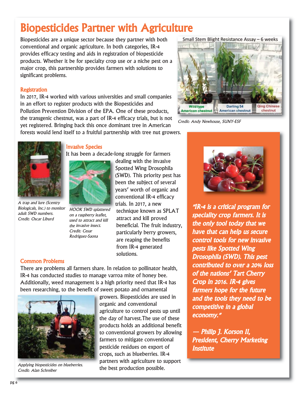# Biopesticides Partner with Agriculture

Biopesticides are a unique sector because they partner with both conventional and organic agriculture. In both categories, IR-4 provides efficacy testing and aids in registration of biopesticide products. Whether it be for specialty crop use or a niche pest on a major crop, this partnership provides farmers with solutions to significant problems.

### **Registration**

In 2017, IR-4 worked with various universities and small companies in an effort to register products with the Biopesticides and Pollution Prevention Division of the EPA. One of these products, the transgenic chestnut, was a part of IR-4 efficacy trials, but is not yet registered. Bringing back this once dominant tree in American forests would lend itself to a fruitful partnership with tree nut growers.



Small Stem Blight Resistance Assay - 6 weeks

Credit: Andy Newhouse, SUNY-ESF



A trap and lure (Scentry Biologicals, Inc.) to monitor adult SWD numbers. Credit: Oscar Liburd

### Invasive Species

It has been a decade-long struggle for farmers



HOOK SWD splattered on a raspberry leaflet, used to attract and kill the invasive insect. Credit: Cesar Rodriguez-Saona

dealing with the invasive Spotted Wing Drosophila (SWD). This priority pest has been the subject of several years' worth of organic and conventional IR-4 efficacy trials. In 2017, a new technique known as SPLAT attract and kill proved beneficial. The fruit industry, particularly berry growers, are reaping the benefits from IR-4 generated solutions.

### Common Problems

There are problems all farmers share. In relation to pollinator health, IR-4 has conducted studies to manage varroa mite of honey bee. Additionally, weed management is a high priority need that IR-4 has been researching, to the benefit of sweet potato and ornamental



Applying biopesticides on blueberries. Credit: Alan Schreiber

growers. Biopesticides are used in organic and conventional agriculture to control pests up until the day of harvest.The use of these products holds an additional benefit to conventional growers by allowing farmers to mitigate conventional pesticide residues on export of crops, such as blueberries. IR-4 partners with agriculture to support the best production possible.



"IR-4 is a critical program for speciality crop farmers. It is the only tool today that we have that can help us secure control tools for new invasive pests like Spotted Wing Drosophila (SWD). This pest contributed to over a 20% loss of the nations' Tart Cherry Crop in 2016. IR-4 gives farmers hope for the future and the tools they need to be competitive in a global economy."

— Philip J. Korson II, President, Cherry Marketing **Institute**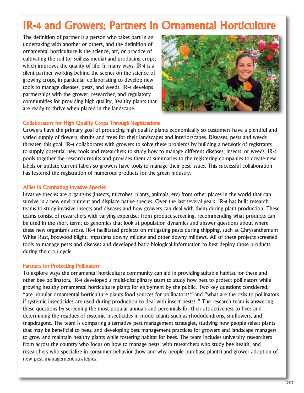# IR-4 and Growers: Partners in Ornamental Horticulture

The definition of partner is a person who takes part in an undertaking with another or others, and the definition of ornamental horticulture is the science, art, or practice of cultivating the soil (or soilless media) and producing crops, which improves the quality of life. In many ways, IR-4 is a silent partner working behind the scenes on the science of growing crops, in particular collaborating to develop new tools to manage diseases, pests, and weeds. IR-4 develops partnerships with the grower, researcher, and regulatory communities for providing high quality, healthy plants that are ready to thrive when placed in the landscape.



### Collaborators for High Quality Crops Through Registrations

Growers have the primary goal of producing high quality plants economically so customers have a plentiful and varied supply of flowers, shrubs and trees for their landscapes and interiorscapes. Diseases, pests and weeds threaten this goal. IR-4 collaborates with growers to solve these problems by building a network of registrants to supply potential new tools and researchers to study how to manage different diseases, insects, or weeds. IR-4 pools together the research results and provides them as summaries to the registering companies to create new labels or update current labels so growers have tools to manage their pest issues. This successful collaboration has fostered the registration of numerous products for the green industry.

### Allies in Combating Invasive Species

Invasive species are organisms (insects, microbes, plants, animals, etc) from other places in the world that can survive in a new environment and displace native species. Over the last several years, IR-4 has built research teams to study invasive insects and diseases and how growers can deal with them during plant production. These teams consist of researchers with varying expertise; from product screening, recommending what products can be used in the short term; to genomics that look at population dynamics and answer questions about where these new organisms arose. IR-4 facilitated projects on mitigating pests during shipping, such as Chrysanthemum White Rust, boxwood blight, impatiens downy mildew and other downy mildews. All of these projects screened tools to manage pests and diseases and developed basic biological information to best deploy those products during the crop cycle.

#### Partners for Protecting Pollinators

To explore ways the ornamental horticulture community can aid in providing suitable habitat for these and other bee pollinators, IR-4 developed a multi-disciplinary team to study how best to protect pollinators while growing healthy ornamental horticulture plants for enjoyment by the public. Two key questions considered, "are popular ornamental horticulture plants food sources for pollinators?" and "what are the risks to pollinators if systemic insecticides are used during production to deal with insect pests?." The research team is answering these questions by screening the most popular annuals and perennials for their attractiveness to bees and determining the residues of systemic insecticides in model plants such as rhododendrons, sunflowers, and snapdragons. The team is comparing alternative pest management strategies, studying how people select plants that may be beneficial to bees, and developing best management practices for growers and landscape managers to grow and maintain healthy plants while fostering habitat for bees. The team includes university researchers from across the country who focus on how to manage pests, with researchers who study bee health, and researchers who specialize in consumer behavior (how and why people purchase plants) and grower adoption of new pest management strategies.